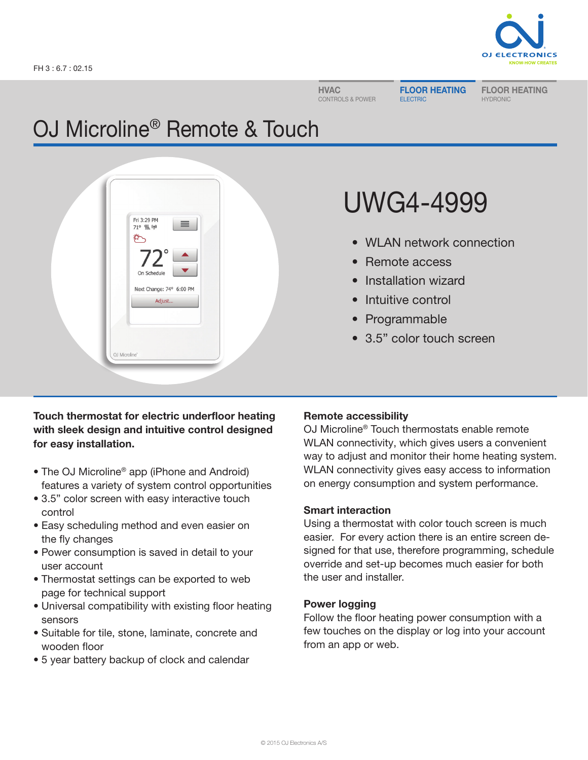

HVAC CONTROLS & POWER FLOOR HEATING ELECTRIC

FLOOR HEATING HYDRONIC

# OJ Microline® Remote & Touch



# UWG4-4999

- WLAN network connection
- Remote access
- Installation wizard
- Intuitive control
- Programmable
- 3.5" color touch screen

## Touch thermostat for electric underfloor heating with sleek design and intuitive control designed for easy installation.

- The OJ Microline<sup>®</sup> app (iPhone and Android) features a variety of system control opportunities
- 3.5" color screen with easy interactive touch control
- Easy scheduling method and even easier on the fly changes
- Power consumption is saved in detail to your user account
- Thermostat settings can be exported to web page for technical support
- Universal compatibility with existing floor heating sensors
- Suitable for tile, stone, laminate, concrete and wooden floor
- 5 year battery backup of clock and calendar

# Remote accessibility

OJ Microline® Touch thermostats enable remote WLAN connectivity, which gives users a convenient way to adjust and monitor their home heating system. WLAN connectivity gives easy access to information on energy consumption and system performance.

### Smart interaction

Using a thermostat with color touch screen is much easier. For every action there is an entire screen designed for that use, therefore programming, schedule override and set-up becomes much easier for both the user and installer.

# Power logging

Follow the floor heating power consumption with a few touches on the display or log into your account from an app or web.